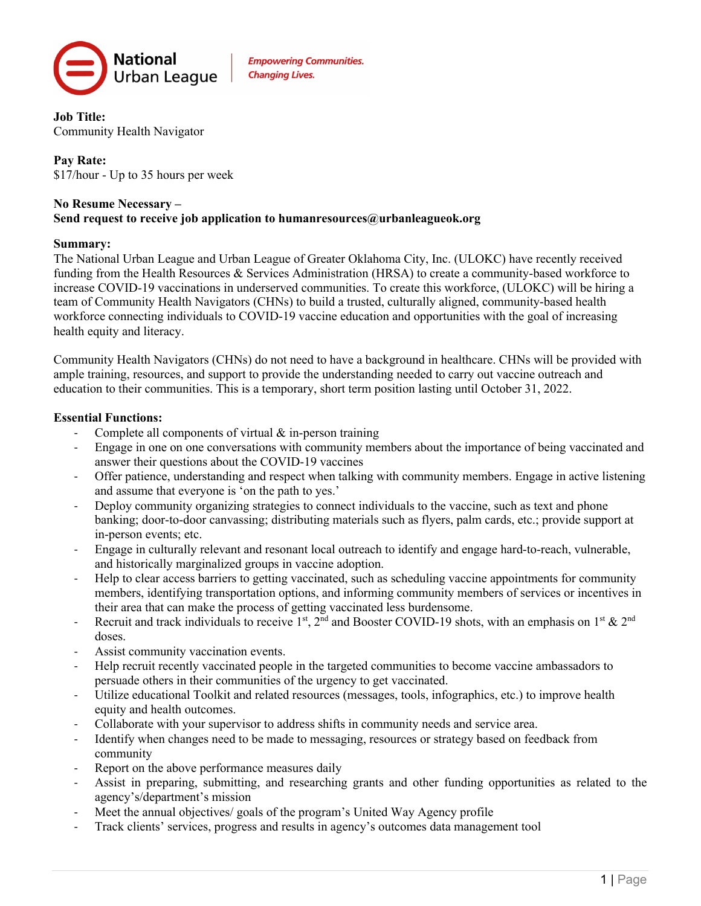

**Empowering Communities. Changing Lives.** 

**Job Title:** Community Health Navigator

#### **Pay Rate:** \$17/hour - Up to 35 hours per week

#### **No Resume Necessary – Send request to receive job application to humanresources@urbanleagueok.org**

#### **Summary:**

The National Urban League and Urban League of Greater Oklahoma City, Inc. (ULOKC) have recently received funding from the Health Resources & Services Administration (HRSA) to create a community-based workforce to increase COVID‐19 vaccinations in underserved communities. To create this workforce, (ULOKC) will be hiring a team of Community Health Navigators (CHNs) to build a trusted, culturally aligned, community-based health workforce connecting individuals to COVID-19 vaccine education and opportunities with the goal of increasing health equity and literacy.

Community Health Navigators (CHNs) do not need to have a background in healthcare. CHNs will be provided with ample training, resources, and support to provide the understanding needed to carry out vaccine outreach and education to their communities. This is a temporary, short term position lasting until October 31, 2022.

## **Essential Functions:**

- Complete all components of virtual  $&$  in-person training
- Engage in one on one conversations with community members about the importance of being vaccinated and answer their questions about the COVID-19 vaccines
- Offer patience, understanding and respect when talking with community members. Engage in active listening and assume that everyone is 'on the path to yes.'
- Deploy community organizing strategies to connect individuals to the vaccine, such as text and phone banking; door-to-door canvassing; distributing materials such as flyers, palm cards, etc.; provide support at in-person events; etc.
- Engage in culturally relevant and resonant local outreach to identify and engage hard-to-reach, vulnerable, and historically marginalized groups in vaccine adoption.
- Help to clear access barriers to getting vaccinated, such as scheduling vaccine appointments for community members, identifying transportation options, and informing community members of services or incentives in their area that can make the process of getting vaccinated less burdensome.
- Recruit and track individuals to receive 1st,  $2^{nd}$  and Booster COVID-19 shots, with an emphasis on 1st &  $2^{nd}$ doses.
- Assist community vaccination events.
- Help recruit recently vaccinated people in the targeted communities to become vaccine ambassadors to persuade others in their communities of the urgency to get vaccinated.
- Utilize educational Toolkit and related resources (messages, tools, infographics, etc.) to improve health equity and health outcomes.
- Collaborate with your supervisor to address shifts in community needs and service area.
- Identify when changes need to be made to messaging, resources or strategy based on feedback from community
- Report on the above performance measures daily
- Assist in preparing, submitting, and researching grants and other funding opportunities as related to the agency's/department's mission
- Meet the annual objectives/ goals of the program's United Way Agency profile
- Track clients' services, progress and results in agency's outcomes data management tool